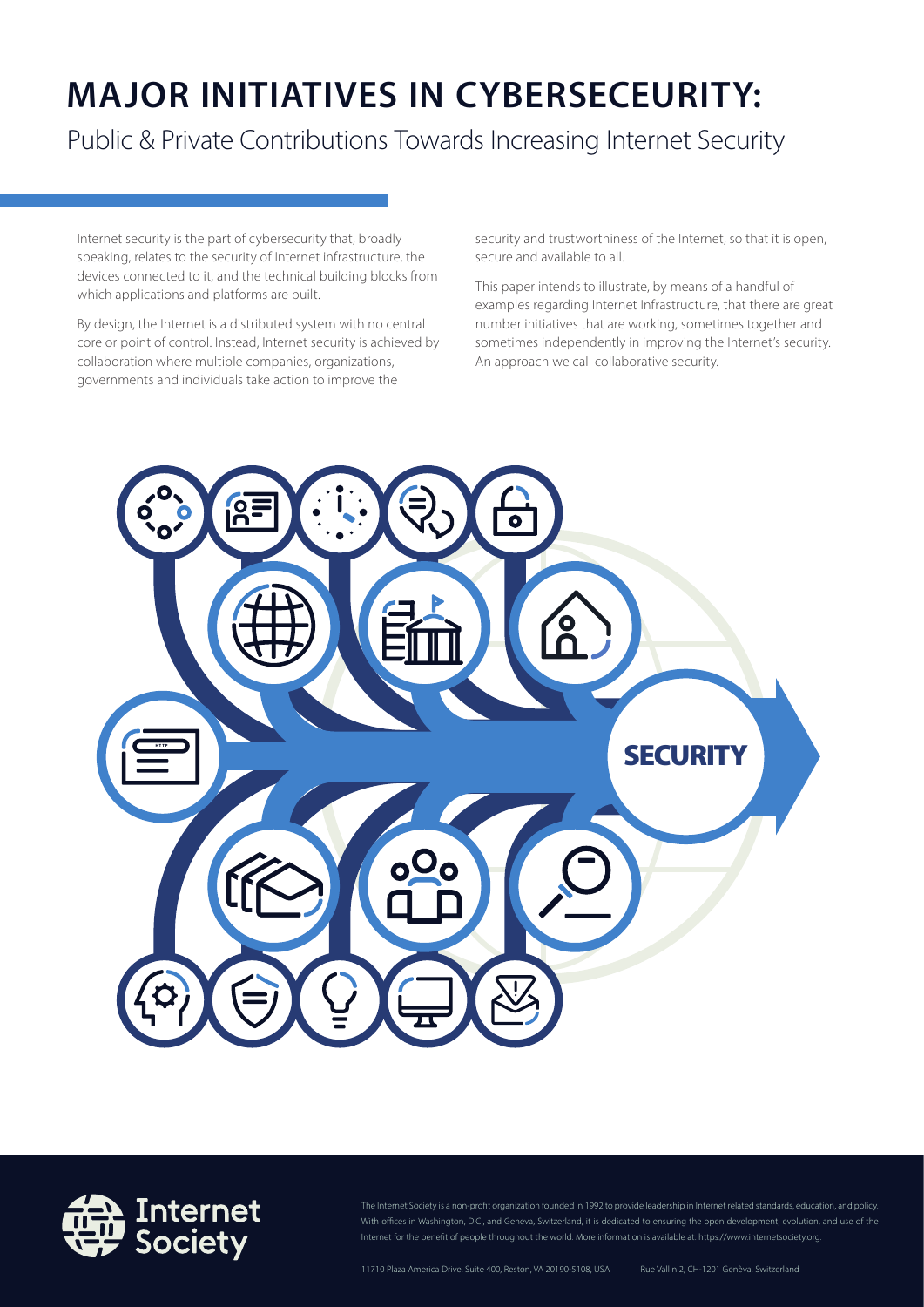# **MAJOR INITIATIVES IN CYBERSECEURITY:**

Public & Private Contributions Towards Increasing Internet Security

Internet security is the part of cybersecurity that, broadly speaking, relates to the security of Internet infrastructure, the devices connected to it, and the technical building blocks from which applications and platforms are built.

By design, the Internet is a distributed system with no central core or point of control. Instead, Internet security is achieved by collaboration where multiple companies, organizations, governments and individuals take action to improve the

security and trustworthiness of the Internet, so that it is open, secure and available to all.

This paper intends to illustrate, by means of a handful of examples regarding Internet Infrastructure, that there are great number initiatives that are working, sometimes together and sometimes independently in improving the Internet's security. An approach we call collaborative security.





The Internet Society is a non-profit organization founded in 1992 to provide leadership in Internet related standards, education, and policy. With offices in Washington, D.C., and Geneva, Switzerland, it is dedicated to ensuring the open development, evolution, and use of the Internet for the benefit of people throughout the world. More information is available at: https://www.internetsociety.org